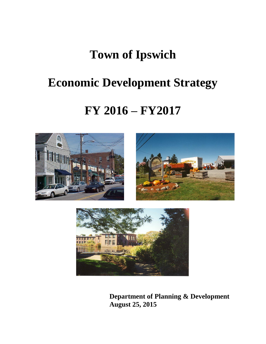# **Town of Ipswich**

# **Economic Development Strategy**

## **FY 2016 – FY2017**







**Department of Planning & Development August 25, 2015**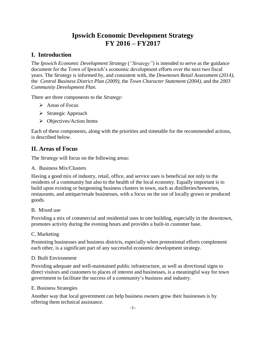## **Ipswich Economic Development Strategy FY 2016 – FY2017**

## **I. Introduction**

The *Ipswich Economic Development Strategy* (*"Strategy"*) is intended to serve as the guidance document for the Town of Ipswich's economic development efforts over the next two fiscal years. The *Strategy* is informed by, and consistent with, the *Downtown Retail Assessment (2014)*, the *Central Business District Plan (2009)*, the *Town Character Statement (2004)*, and the *2003 Community Development Plan.*

There are three components to the *Strategy*:

- Areas of Focus
- $\triangleright$  Strategic Approach
- $\triangleright$  Objectives/Action Items

Each of these components, along with the priorities and timetable for the recommended actions, is described below.

## **II. Areas of Focus**

The *Strategy* will focus on the following areas:

A. Business Mix/Clusters

Having a good mix of industry, retail, office, and service uses is beneficial not only to the residents of a community but also to the health of the local economy. Equally important is to build upon existing or burgeoning business clusters in town, such as distilleries/breweries, restaurants, and antique/resale businesses, with a focus on the use of locally grown or produced goods.

### B. Mixed use

Providing a mix of commercial and residential uses in one building, especially in the downtown, promotes activity during the evening hours and provides a built-in customer base.

C. Marketing

Promoting businesses and business districts, especially when promotional efforts complement each other, is a significant part of any successful economic development strategy.

### D. Built Environment

Providing adequate and well-maintained public infrastructure, as well as directional signs to direct visitors and customers to places of interest and businesses, is a meaningful way for town government to facilitate the success of a community's business and industry.

### E. Business Strategies

Another way that local government can help business owners grow their businesses is by offering them technical assistance.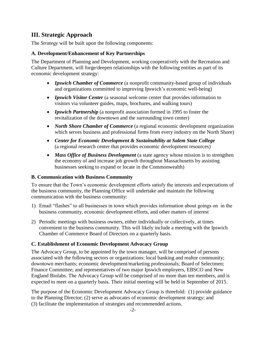## **III. Strategic Approach**

The *Strategy* will be built upon the following components:

### **A. Development/Enhancement of Key Partnerships**

The Department of Planning and Development, working cooperatively with the Recreation and Culture Department, will forge/deepen relationships with the following entities as part of its economic development strategy:

- *Ipswich Chamber of Commerce* (a nonprofit community-based group of individuals and organizations committed to improving Ipswich's economic well-being)
- *Ipswich Visitor Center* (a seasonal welcome center that provides information to visitors via volunteer guides, maps, brochures, and walking tours)
- *Ipswich Partnership* (a nonprofit association formed in 1995 to foster the revitalization of the downtown and the surrounding town center)
- *North Shore Chamber of Commerce* (a regional economic development organization which serves business and professional firms from every industry on the North Shore)
- *Center for Economic Development & Sustainability at Salem State College* (a regional research center that provides economic development resources)
- *Mass Office of Business Development* (a state agency whose mission is to strengthen the economy of and increase job growth throughout Massachusetts by assisting businesses seeking to expand or locate in the Commonwealth)

### **B. Communication with Business Community**

To ensure that the Town's economic development efforts satisfy the interests and expectations of the business community, the Planning Office will undertake and maintain the following communication with the business community:

- 1) Email "flashes" to all businesses in town which provides information about goings on in the business community, economic development efforts, and other matters of interest
- 2) Periodic meetings with business owners, either individually or collectively, at times convenient to the business community. This will likely include a meeting with the Ipswich Chamber of Commerce Board of Directors on a quarterly basis.

### **C. Establishment of Economic Development Advocacy Group**

The Advocacy Group, to be appointed by the town manager, will be comprised of persons associated with the following sectors or organizations: local banking and realtor community; downtown merchants; economic development/marketing professionals; Board of Selectmen; Finance Committee; and representatives of two major Ipswich employers, EBSCO and New England Biolabs. The Advocacy Group will be comprised of no more than ten members, and is expected to meet on a quarterly basis. Their initial meeting will be held in September of 2015.

The purpose of the Economic Development Advocacy Group is threefold: (1) provide guidance to the Planning Director; (2) serve as advocates of economic development strategy; and (3) facilitate the implementation of strategies and recommended actions.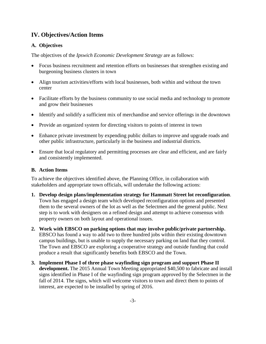## **IV. Objectives/Action Items**

#### **A. Objectives**

The objectives of the *Ipswich Economic Development Strategy* are as follows:

- Focus business recruitment and retention efforts on businesses that strengthen existing and burgeoning business clusters in town
- Align tourism activities/efforts with local businesses, both within and without the town center
- Facilitate efforts by the business community to use social media and technology to promote and grow their businesses
- Identify and solidify a sufficient mix of merchandise and service offerings in the downtown
- Provide an organized system for directing visitors to points of interest in town
- Enhance private investment by expending public dollars to improve and upgrade roads and other public infrastructure, particularly in the business and industrial districts.
- Ensure that local regulatory and permitting processes are clear and efficient, and are fairly and consistently implemented.

#### **B. Action Items**

To achieve the objectives identified above, the Planning Office, in collaboration with stakeholders and appropriate town officials, will undertake the following actions:

- **1. Develop design plans/implementation strategy for Hammatt Street lot reconfiguration**. Town has engaged a design team which developed reconfiguration options and presented them to the several owners of the lot as well as the Selectmen and the general public. Next step is to work with designers on a refined design and attempt to achieve consensus with property owners on both layout and operational issues.
- **2. Work with EBSCO on parking options that may involve public/private partnership.** EBSCO has found a way to add two to three hundred jobs within their existing downtown campus buildings, but is unable to supply the necessary parking on land that they control. The Town and EBSCO are exploring a cooperative strategy and outside funding that could produce a result that significantly benefits both EBSCO and the Town.
- **3. Implement Phase I of three phase wayfinding sign program and support Phase II development.** The 2015 Annual Town Meeting appropriated \$40,500 to fabricate and install signs identified in Phase I of the wayfinding sign program approved by the Selectmen in the fall of 2014. The signs, which will welcome visitors to town and direct them to points of interest, are expected to be installed by spring of 2016.